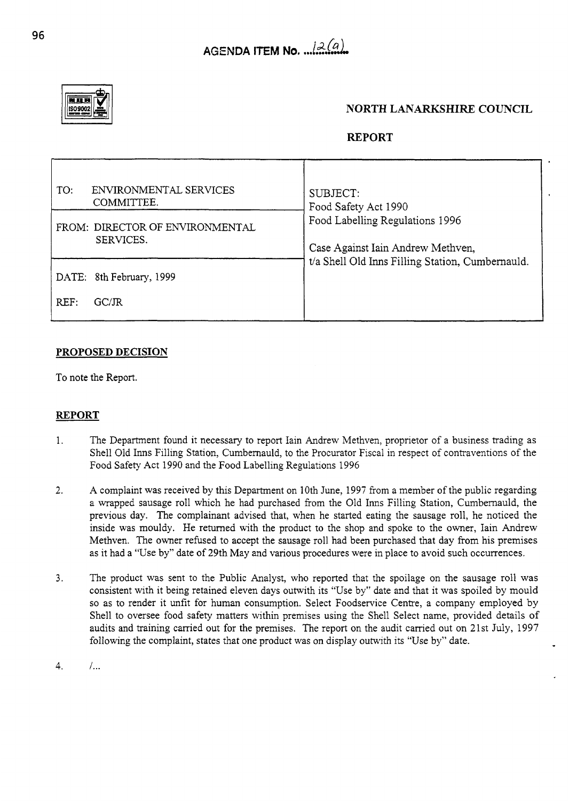

## **NORTH LANARKSHIRE COUNCIL**

## **REPORT**

| AGENDA ITEM No. $\sqrt{2(a)}$<br><b>KITE</b><br>NORTH LANARKSHIRE COUNCIL<br><b>REPORT</b><br>ENVIRONMENTAL SERVICES<br>SUBJECT:<br>COMMITTEE.<br>Food Safety Act 1990<br>Food Labelling Regulations 1996<br>SERVICES.<br>Case Against Iain Andrew Methven,<br>t/a Shell Old Inns Filling Station, Cumbernauld.<br>REF: GC/JR<br>The Department found it necessary to report Iain Andrew Methven, proprietor of a business trading as<br>Shell Old Inns Filling Station, Cumbernauld, to the Procurator Fiscal in respect of contraventions of the<br>Food Safety Act 1990 and the Food Labelling Regulations 1996<br>A complaint was received by this Department on 10th June, 1997 from a member of the public regarding<br>a wrapped sausage roll which he had purchased from the Old Inns Filling Station, Cumbernauld, the<br>previous day. The compl<br>as it had a "Use by" date of 29th May and various procedures were in place to avoid such occurrences.<br>The product was sent to the Public Analyst, who reported that the spoilage on the sausage roll was consistent with it being retained eleven days outwith its "Use by" date and that it was spoiled by mould so as to render it<br>Shell to oversee food safety matters within premises using the Shell Select name, provided details of audits and training carried out for the premises. The report on the audit carried out on 21st July, 1997 |                                                                    |  |  |  |
|-------------------------------------------------------------------------------------------------------------------------------------------------------------------------------------------------------------------------------------------------------------------------------------------------------------------------------------------------------------------------------------------------------------------------------------------------------------------------------------------------------------------------------------------------------------------------------------------------------------------------------------------------------------------------------------------------------------------------------------------------------------------------------------------------------------------------------------------------------------------------------------------------------------------------------------------------------------------------------------------------------------------------------------------------------------------------------------------------------------------------------------------------------------------------------------------------------------------------------------------------------------------------------------------------------------------------------------------------------------------------------------------------------------------------|--------------------------------------------------------------------|--|--|--|
|                                                                                                                                                                                                                                                                                                                                                                                                                                                                                                                                                                                                                                                                                                                                                                                                                                                                                                                                                                                                                                                                                                                                                                                                                                                                                                                                                                                                                         |                                                                    |  |  |  |
|                                                                                                                                                                                                                                                                                                                                                                                                                                                                                                                                                                                                                                                                                                                                                                                                                                                                                                                                                                                                                                                                                                                                                                                                                                                                                                                                                                                                                         |                                                                    |  |  |  |
|                                                                                                                                                                                                                                                                                                                                                                                                                                                                                                                                                                                                                                                                                                                                                                                                                                                                                                                                                                                                                                                                                                                                                                                                                                                                                                                                                                                                                         |                                                                    |  |  |  |
|                                                                                                                                                                                                                                                                                                                                                                                                                                                                                                                                                                                                                                                                                                                                                                                                                                                                                                                                                                                                                                                                                                                                                                                                                                                                                                                                                                                                                         |                                                                    |  |  |  |
|                                                                                                                                                                                                                                                                                                                                                                                                                                                                                                                                                                                                                                                                                                                                                                                                                                                                                                                                                                                                                                                                                                                                                                                                                                                                                                                                                                                                                         |                                                                    |  |  |  |
|                                                                                                                                                                                                                                                                                                                                                                                                                                                                                                                                                                                                                                                                                                                                                                                                                                                                                                                                                                                                                                                                                                                                                                                                                                                                                                                                                                                                                         |                                                                    |  |  |  |
|                                                                                                                                                                                                                                                                                                                                                                                                                                                                                                                                                                                                                                                                                                                                                                                                                                                                                                                                                                                                                                                                                                                                                                                                                                                                                                                                                                                                                         |                                                                    |  |  |  |
|                                                                                                                                                                                                                                                                                                                                                                                                                                                                                                                                                                                                                                                                                                                                                                                                                                                                                                                                                                                                                                                                                                                                                                                                                                                                                                                                                                                                                         |                                                                    |  |  |  |
|                                                                                                                                                                                                                                                                                                                                                                                                                                                                                                                                                                                                                                                                                                                                                                                                                                                                                                                                                                                                                                                                                                                                                                                                                                                                                                                                                                                                                         |                                                                    |  |  |  |
|                                                                                                                                                                                                                                                                                                                                                                                                                                                                                                                                                                                                                                                                                                                                                                                                                                                                                                                                                                                                                                                                                                                                                                                                                                                                                                                                                                                                                         |                                                                    |  |  |  |
|                                                                                                                                                                                                                                                                                                                                                                                                                                                                                                                                                                                                                                                                                                                                                                                                                                                                                                                                                                                                                                                                                                                                                                                                                                                                                                                                                                                                                         |                                                                    |  |  |  |
|                                                                                                                                                                                                                                                                                                                                                                                                                                                                                                                                                                                                                                                                                                                                                                                                                                                                                                                                                                                                                                                                                                                                                                                                                                                                                                                                                                                                                         |                                                                    |  |  |  |
|                                                                                                                                                                                                                                                                                                                                                                                                                                                                                                                                                                                                                                                                                                                                                                                                                                                                                                                                                                                                                                                                                                                                                                                                                                                                                                                                                                                                                         |                                                                    |  |  |  |
|                                                                                                                                                                                                                                                                                                                                                                                                                                                                                                                                                                                                                                                                                                                                                                                                                                                                                                                                                                                                                                                                                                                                                                                                                                                                                                                                                                                                                         |                                                                    |  |  |  |
|                                                                                                                                                                                                                                                                                                                                                                                                                                                                                                                                                                                                                                                                                                                                                                                                                                                                                                                                                                                                                                                                                                                                                                                                                                                                                                                                                                                                                         |                                                                    |  |  |  |
|                                                                                                                                                                                                                                                                                                                                                                                                                                                                                                                                                                                                                                                                                                                                                                                                                                                                                                                                                                                                                                                                                                                                                                                                                                                                                                                                                                                                                         |                                                                    |  |  |  |
|                                                                                                                                                                                                                                                                                                                                                                                                                                                                                                                                                                                                                                                                                                                                                                                                                                                                                                                                                                                                                                                                                                                                                                                                                                                                                                                                                                                                                         |                                                                    |  |  |  |
|                                                                                                                                                                                                                                                                                                                                                                                                                                                                                                                                                                                                                                                                                                                                                                                                                                                                                                                                                                                                                                                                                                                                                                                                                                                                                                                                                                                                                         |                                                                    |  |  |  |
|                                                                                                                                                                                                                                                                                                                                                                                                                                                                                                                                                                                                                                                                                                                                                                                                                                                                                                                                                                                                                                                                                                                                                                                                                                                                                                                                                                                                                         |                                                                    |  |  |  |
|                                                                                                                                                                                                                                                                                                                                                                                                                                                                                                                                                                                                                                                                                                                                                                                                                                                                                                                                                                                                                                                                                                                                                                                                                                                                                                                                                                                                                         |                                                                    |  |  |  |
|                                                                                                                                                                                                                                                                                                                                                                                                                                                                                                                                                                                                                                                                                                                                                                                                                                                                                                                                                                                                                                                                                                                                                                                                                                                                                                                                                                                                                         |                                                                    |  |  |  |
|                                                                                                                                                                                                                                                                                                                                                                                                                                                                                                                                                                                                                                                                                                                                                                                                                                                                                                                                                                                                                                                                                                                                                                                                                                                                                                                                                                                                                         |                                                                    |  |  |  |
|                                                                                                                                                                                                                                                                                                                                                                                                                                                                                                                                                                                                                                                                                                                                                                                                                                                                                                                                                                                                                                                                                                                                                                                                                                                                                                                                                                                                                         |                                                                    |  |  |  |
|                                                                                                                                                                                                                                                                                                                                                                                                                                                                                                                                                                                                                                                                                                                                                                                                                                                                                                                                                                                                                                                                                                                                                                                                                                                                                                                                                                                                                         | TO:<br>FROM: DIRECTOR OF ENVIRONMENTAL<br>DATE: 8th February, 1999 |  |  |  |
|                                                                                                                                                                                                                                                                                                                                                                                                                                                                                                                                                                                                                                                                                                                                                                                                                                                                                                                                                                                                                                                                                                                                                                                                                                                                                                                                                                                                                         | PROPOSED DECISION<br>To note the Report.                           |  |  |  |
|                                                                                                                                                                                                                                                                                                                                                                                                                                                                                                                                                                                                                                                                                                                                                                                                                                                                                                                                                                                                                                                                                                                                                                                                                                                                                                                                                                                                                         | <b>REPORT</b>                                                      |  |  |  |
|                                                                                                                                                                                                                                                                                                                                                                                                                                                                                                                                                                                                                                                                                                                                                                                                                                                                                                                                                                                                                                                                                                                                                                                                                                                                                                                                                                                                                         | 2.                                                                 |  |  |  |
| following the complaint, states that one product was on display outwith its "Use by" date.                                                                                                                                                                                                                                                                                                                                                                                                                                                                                                                                                                                                                                                                                                                                                                                                                                                                                                                                                                                                                                                                                                                                                                                                                                                                                                                              | 3.                                                                 |  |  |  |

## **PROPOSED DECISION**

## **REPORT**

- 1. The Department found it necessary to report Iain Andrew Methven, proprietor of a business trading as Shell Old Inns Filling Station, Cumbernauld, to the Procurator Fiscal in respect of contraventions of the Food Safety Act 1990 and the Food Labelling Regulations 1996
- **2.**  A complaint was received by this Department on 10th June, 1997 from a member of the public regarding a wrapped sausage roll which he had purchased from the Old Inns Filling Station, Cumbemauld, the previous day. The complainant advised that, when he started eating the sausage roll, he noticed the inside was mouldy. He returned with the product to the shop and spoke to the owner, Iain Andrew Methven. The owner refused to accept the sausage roll had been purchased that day from his premises as it had a "Use by" date of 29th May and various procedures were in place to avoid such occurrences.
- 3. The product was sent to the Public Analyst, who reported that the spoilage on the sausage roll was consistent with it being retained eleven days outwith its "Use by" date and that it was spoiled by mould so as to render it unfit for human consumption. Select Foodservice Centre, a company employed by Shell to oversee food safety matters within premises using the Shell Select name, provided details of audits and training carried out for the premises. The report on the audit carried out on 21st July, 1997 following the complaint, states that one product was on display outwith its "Use by" date.
- 4. *I...*